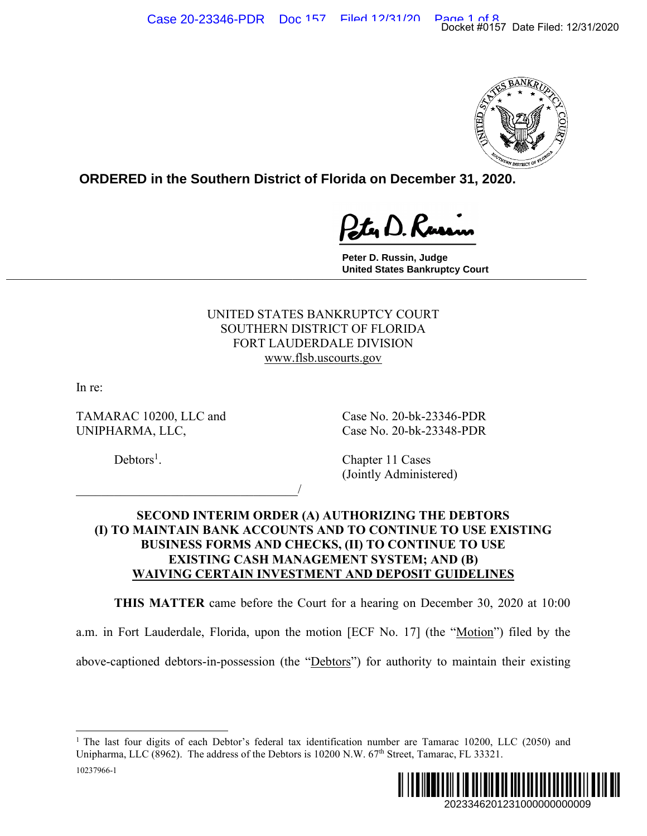

**ORDERED in the Southern District of Florida on December 31, 2020.**

**Peter D. Russin, Judge United States Bankruptcy Court \_\_\_\_\_\_\_\_\_\_\_\_\_\_\_\_\_\_\_\_\_\_\_\_\_\_\_\_\_\_\_\_\_\_\_\_\_\_\_\_\_\_\_\_\_\_\_\_\_\_\_\_\_\_\_\_\_\_\_\_\_\_\_\_\_\_\_\_\_\_\_\_\_\_\_\_\_**

# UNITED STATES BANKRUPTCY COURT SOUTHERN DISTRICT OF FLORIDA FORT LAUDERDALE DIVISION www.flsb.uscourts.gov

In re:

10237966-1

TAMARAC 10200, LLC and Case No. 20-bk-23346-PDR UNIPHARMA, LLC, Case No. 20-bk-23348-PDR

 $\overline{\phantom{a}}$ 

 $Debtors<sup>1</sup>$ .

. Chapter 11 Cases (Jointly Administered)

# **SECOND INTERIM ORDER (A) AUTHORIZING THE DEBTORS (I) TO MAINTAIN BANK ACCOUNTS AND TO CONTINUE TO USE EXISTING BUSINESS FORMS AND CHECKS, (II) TO CONTINUE TO USE EXISTING CASH MANAGEMENT SYSTEM; AND (B) WAIVING CERTAIN INVESTMENT AND DEPOSIT GUIDELINES**

**THIS MATTER** came before the Court for a hearing on December 30, 2020 at 10:00

a.m. in Fort Lauderdale, Florida, upon the motion [ECF No. 17] (the "Motion") filed by the

above-captioned debtors-in-possession (the "Debtors") for authority to maintain their existing

<sup>&</sup>lt;sup>1</sup> The last four digits of each Debtor's federal tax identification number are Tamarac 10200, LLC (2050) and Unipharma, LLC (8962). The address of the Debtors is 10200 N.W. 67<sup>th</sup> Street, Tamarac, FL 33321.

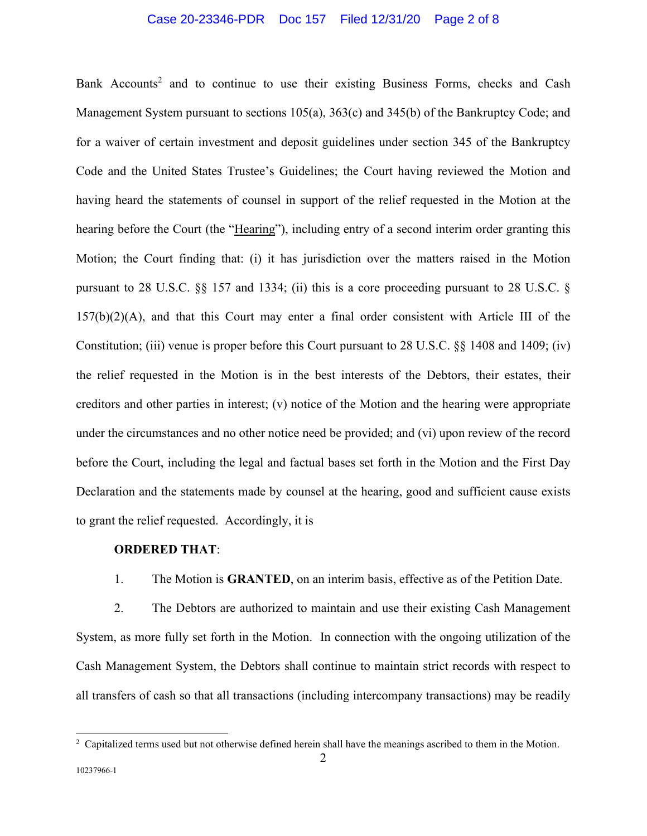### Case 20-23346-PDR Doc 157 Filed 12/31/20 Page 2 of 8

Bank Accounts<sup>2</sup> and to continue to use their existing Business Forms, checks and Cash Management System pursuant to sections 105(a), 363(c) and 345(b) of the Bankruptcy Code; and for a waiver of certain investment and deposit guidelines under section 345 of the Bankruptcy Code and the United States Trustee's Guidelines; the Court having reviewed the Motion and having heard the statements of counsel in support of the relief requested in the Motion at the hearing before the Court (the "Hearing"), including entry of a second interim order granting this Motion; the Court finding that: (i) it has jurisdiction over the matters raised in the Motion pursuant to 28 U.S.C. §§ 157 and 1334; (ii) this is a core proceeding pursuant to 28 U.S.C. § 157(b)(2)(A), and that this Court may enter a final order consistent with Article III of the Constitution; (iii) venue is proper before this Court pursuant to 28 U.S.C. §§ 1408 and 1409; (iv) the relief requested in the Motion is in the best interests of the Debtors, their estates, their creditors and other parties in interest; (v) notice of the Motion and the hearing were appropriate under the circumstances and no other notice need be provided; and (vi) upon review of the record before the Court, including the legal and factual bases set forth in the Motion and the First Day Declaration and the statements made by counsel at the hearing, good and sufficient cause exists to grant the relief requested. Accordingly, it is

# **ORDERED THAT**:

1. The Motion is **GRANTED**, on an interim basis, effective as of the Petition Date.

2. The Debtors are authorized to maintain and use their existing Cash Management System, as more fully set forth in the Motion. In connection with the ongoing utilization of the Cash Management System, the Debtors shall continue to maintain strict records with respect to all transfers of cash so that all transactions (including intercompany transactions) may be readily

<sup>&</sup>lt;sup>2</sup> Capitalized terms used but not otherwise defined herein shall have the meanings ascribed to them in the Motion.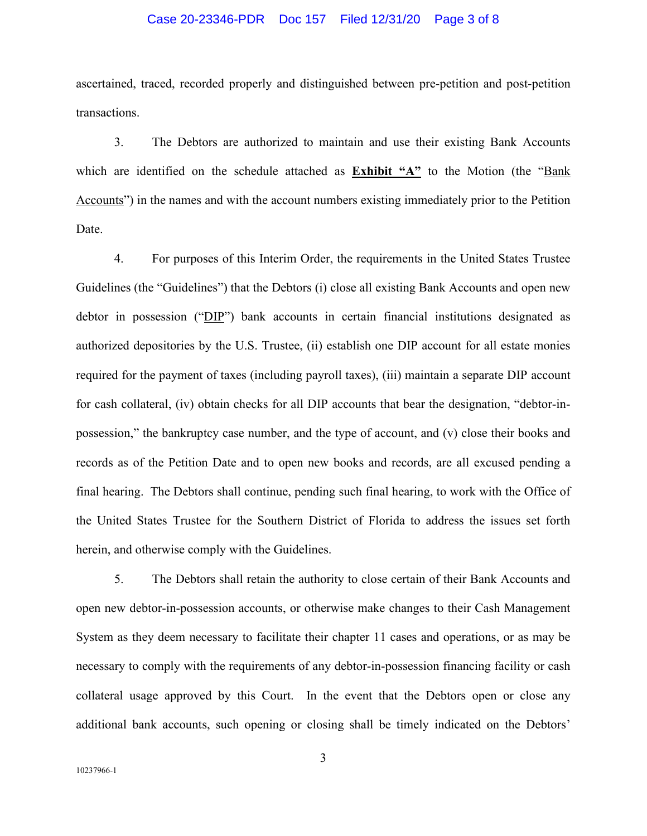# Case 20-23346-PDR Doc 157 Filed 12/31/20 Page 3 of 8

ascertained, traced, recorded properly and distinguished between pre-petition and post-petition transactions.

3. The Debtors are authorized to maintain and use their existing Bank Accounts which are identified on the schedule attached as **Exhibit "A"** to the Motion (the "Bank Accounts") in the names and with the account numbers existing immediately prior to the Petition Date.

4. For purposes of this Interim Order, the requirements in the United States Trustee Guidelines (the "Guidelines") that the Debtors (i) close all existing Bank Accounts and open new debtor in possession ("DIP") bank accounts in certain financial institutions designated as authorized depositories by the U.S. Trustee, (ii) establish one DIP account for all estate monies required for the payment of taxes (including payroll taxes), (iii) maintain a separate DIP account for cash collateral, (iv) obtain checks for all DIP accounts that bear the designation, "debtor-inpossession," the bankruptcy case number, and the type of account, and (v) close their books and records as of the Petition Date and to open new books and records, are all excused pending a final hearing. The Debtors shall continue, pending such final hearing, to work with the Office of the United States Trustee for the Southern District of Florida to address the issues set forth herein, and otherwise comply with the Guidelines.

5. The Debtors shall retain the authority to close certain of their Bank Accounts and open new debtor-in-possession accounts, or otherwise make changes to their Cash Management System as they deem necessary to facilitate their chapter 11 cases and operations, or as may be necessary to comply with the requirements of any debtor-in-possession financing facility or cash collateral usage approved by this Court. In the event that the Debtors open or close any additional bank accounts, such opening or closing shall be timely indicated on the Debtors'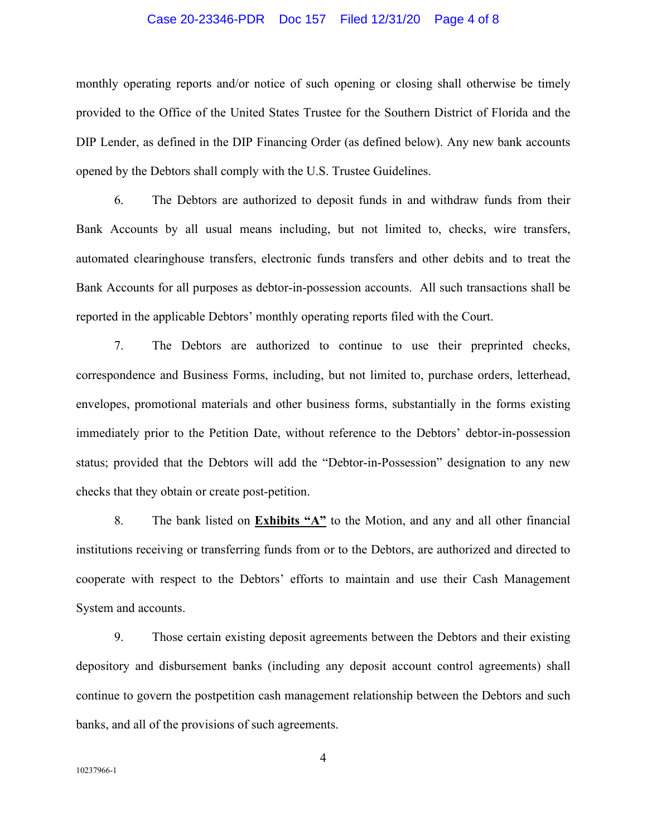# Case 20-23346-PDR Doc 157 Filed 12/31/20 Page 4 of 8

monthly operating reports and/or notice of such opening or closing shall otherwise be timely provided to the Office of the United States Trustee for the Southern District of Florida and the DIP Lender, as defined in the DIP Financing Order (as defined below). Any new bank accounts opened by the Debtors shall comply with the U.S. Trustee Guidelines.

6. The Debtors are authorized to deposit funds in and withdraw funds from their Bank Accounts by all usual means including, but not limited to, checks, wire transfers, automated clearinghouse transfers, electronic funds transfers and other debits and to treat the Bank Accounts for all purposes as debtor-in-possession accounts. All such transactions shall be reported in the applicable Debtors' monthly operating reports filed with the Court.

7. The Debtors are authorized to continue to use their preprinted checks, correspondence and Business Forms, including, but not limited to, purchase orders, letterhead, envelopes, promotional materials and other business forms, substantially in the forms existing immediately prior to the Petition Date, without reference to the Debtors' debtor-in-possession status; provided that the Debtors will add the "Debtor-in-Possession" designation to any new checks that they obtain or create post-petition.

8. The bank listed on **Exhibits "A"** to the Motion, and any and all other financial institutions receiving or transferring funds from or to the Debtors, are authorized and directed to cooperate with respect to the Debtors' efforts to maintain and use their Cash Management System and accounts.

9. Those certain existing deposit agreements between the Debtors and their existing depository and disbursement banks (including any deposit account control agreements) shall continue to govern the postpetition cash management relationship between the Debtors and such banks, and all of the provisions of such agreements.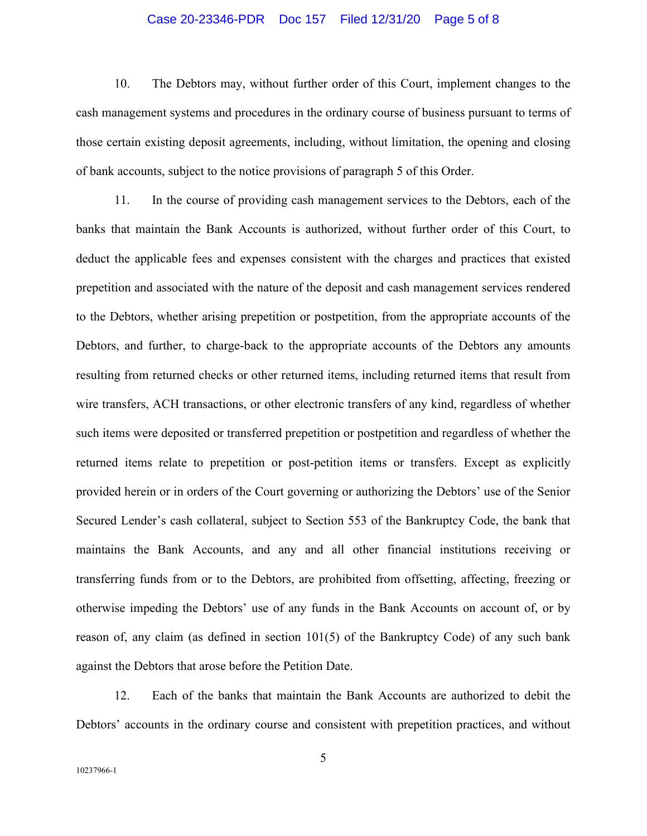# Case 20-23346-PDR Doc 157 Filed 12/31/20 Page 5 of 8

10. The Debtors may, without further order of this Court, implement changes to the cash management systems and procedures in the ordinary course of business pursuant to terms of those certain existing deposit agreements, including, without limitation, the opening and closing of bank accounts, subject to the notice provisions of paragraph 5 of this Order.

11. In the course of providing cash management services to the Debtors, each of the banks that maintain the Bank Accounts is authorized, without further order of this Court, to deduct the applicable fees and expenses consistent with the charges and practices that existed prepetition and associated with the nature of the deposit and cash management services rendered to the Debtors, whether arising prepetition or postpetition, from the appropriate accounts of the Debtors, and further, to charge-back to the appropriate accounts of the Debtors any amounts resulting from returned checks or other returned items, including returned items that result from wire transfers, ACH transactions, or other electronic transfers of any kind, regardless of whether such items were deposited or transferred prepetition or postpetition and regardless of whether the returned items relate to prepetition or post-petition items or transfers. Except as explicitly provided herein or in orders of the Court governing or authorizing the Debtors' use of the Senior Secured Lender's cash collateral, subject to Section 553 of the Bankruptcy Code, the bank that maintains the Bank Accounts, and any and all other financial institutions receiving or transferring funds from or to the Debtors, are prohibited from offsetting, affecting, freezing or otherwise impeding the Debtors' use of any funds in the Bank Accounts on account of, or by reason of, any claim (as defined in section 101(5) of the Bankruptcy Code) of any such bank against the Debtors that arose before the Petition Date.

12. Each of the banks that maintain the Bank Accounts are authorized to debit the Debtors' accounts in the ordinary course and consistent with prepetition practices, and without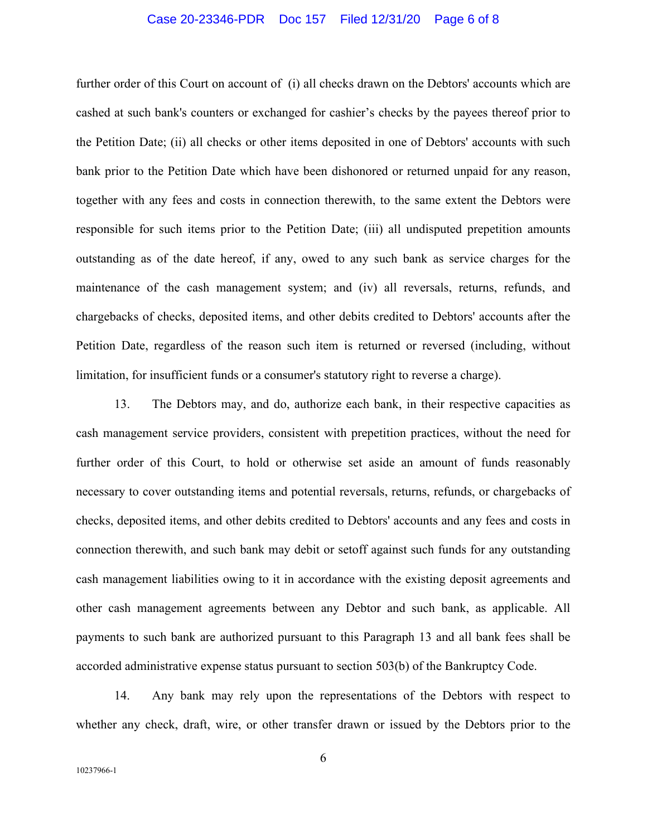## Case 20-23346-PDR Doc 157 Filed 12/31/20 Page 6 of 8

further order of this Court on account of (i) all checks drawn on the Debtors' accounts which are cashed at such bank's counters or exchanged for cashier's checks by the payees thereof prior to the Petition Date; (ii) all checks or other items deposited in one of Debtors' accounts with such bank prior to the Petition Date which have been dishonored or returned unpaid for any reason, together with any fees and costs in connection therewith, to the same extent the Debtors were responsible for such items prior to the Petition Date; (iii) all undisputed prepetition amounts outstanding as of the date hereof, if any, owed to any such bank as service charges for the maintenance of the cash management system; and (iv) all reversals, returns, refunds, and chargebacks of checks, deposited items, and other debits credited to Debtors' accounts after the Petition Date, regardless of the reason such item is returned or reversed (including, without limitation, for insufficient funds or a consumer's statutory right to reverse a charge).

13. The Debtors may, and do, authorize each bank, in their respective capacities as cash management service providers, consistent with prepetition practices, without the need for further order of this Court, to hold or otherwise set aside an amount of funds reasonably necessary to cover outstanding items and potential reversals, returns, refunds, or chargebacks of checks, deposited items, and other debits credited to Debtors' accounts and any fees and costs in connection therewith, and such bank may debit or setoff against such funds for any outstanding cash management liabilities owing to it in accordance with the existing deposit agreements and other cash management agreements between any Debtor and such bank, as applicable. All payments to such bank are authorized pursuant to this Paragraph 13 and all bank fees shall be accorded administrative expense status pursuant to section 503(b) of the Bankruptcy Code.

14. Any bank may rely upon the representations of the Debtors with respect to whether any check, draft, wire, or other transfer drawn or issued by the Debtors prior to the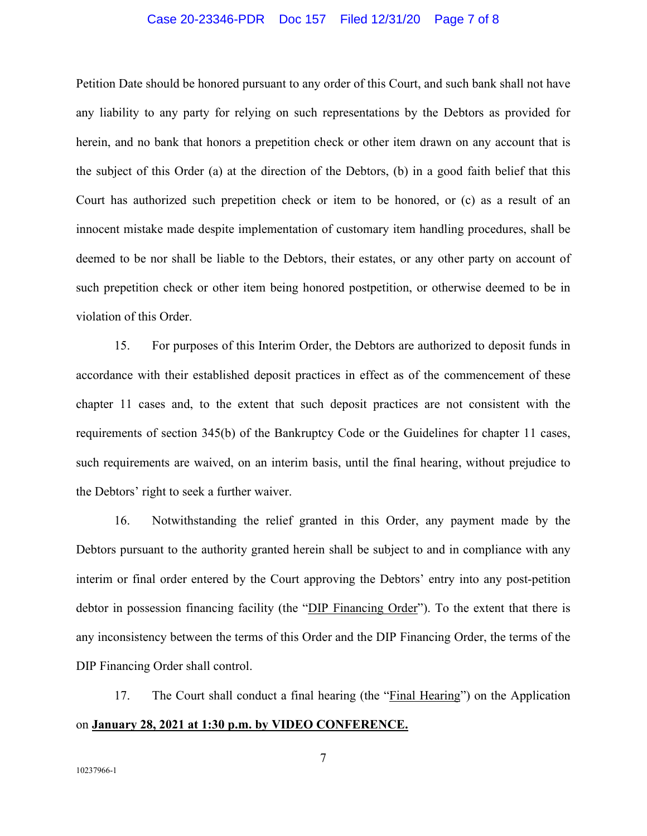## Case 20-23346-PDR Doc 157 Filed 12/31/20 Page 7 of 8

Petition Date should be honored pursuant to any order of this Court, and such bank shall not have any liability to any party for relying on such representations by the Debtors as provided for herein, and no bank that honors a prepetition check or other item drawn on any account that is the subject of this Order (a) at the direction of the Debtors, (b) in a good faith belief that this Court has authorized such prepetition check or item to be honored, or (c) as a result of an innocent mistake made despite implementation of customary item handling procedures, shall be deemed to be nor shall be liable to the Debtors, their estates, or any other party on account of such prepetition check or other item being honored postpetition, or otherwise deemed to be in violation of this Order.

15. For purposes of this Interim Order, the Debtors are authorized to deposit funds in accordance with their established deposit practices in effect as of the commencement of these chapter 11 cases and, to the extent that such deposit practices are not consistent with the requirements of section 345(b) of the Bankruptcy Code or the Guidelines for chapter 11 cases, such requirements are waived, on an interim basis, until the final hearing, without prejudice to the Debtors' right to seek a further waiver.

16. Notwithstanding the relief granted in this Order, any payment made by the Debtors pursuant to the authority granted herein shall be subject to and in compliance with any interim or final order entered by the Court approving the Debtors' entry into any post-petition debtor in possession financing facility (the "DIP Financing Order"). To the extent that there is any inconsistency between the terms of this Order and the DIP Financing Order, the terms of the DIP Financing Order shall control.

17. The Court shall conduct a final hearing (the "Final Hearing") on the Application on **January 28, 2021 at 1:30 p.m. by VIDEO CONFERENCE.**